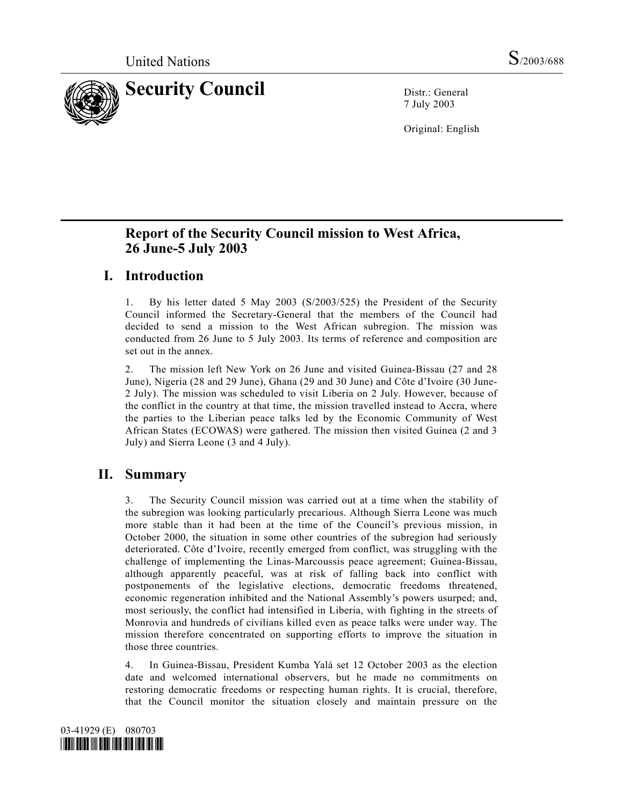

7 July 2003

Original: English

# **Report of the Security Council mission to West Africa, 26 June-5 July 2003**

# **I. Introduction**

1. By his letter dated 5 May 2003 (S/2003/525) the President of the Security Council informed the Secretary-General that the members of the Council had decided to send a mission to the West African subregion. The mission was conducted from 26 June to 5 July 2003. Its terms of reference and composition are set out in the annex.

2. The mission left New York on 26 June and visited Guinea-Bissau (27 and 28 June), Nigeria (28 and 29 June), Ghana (29 and 30 June) and Côte d'Ivoire (30 June-2 July). The mission was scheduled to visit Liberia on 2 July. However, because of the conflict in the country at that time, the mission travelled instead to Accra, where the parties to the Liberian peace talks led by the Economic Community of West African States (ECOWAS) were gathered. The mission then visited Guinea (2 and 3 July) and Sierra Leone (3 and 4 July).

# **II. Summary**

3. The Security Council mission was carried out at a time when the stability of the subregion was looking particularly precarious. Although Sierra Leone was much more stable than it had been at the time of the Council's previous mission, in October 2000, the situation in some other countries of the subregion had seriously deteriorated. Côte d'Ivoire, recently emerged from conflict, was struggling with the challenge of implementing the Linas-Marcoussis peace agreement; Guinea-Bissau, although apparently peaceful, was at risk of falling back into conflict with postponements of the legislative elections, democratic freedoms threatened, economic regeneration inhibited and the National Assembly's powers usurped; and, most seriously, the conflict had intensified in Liberia, with fighting in the streets of Monrovia and hundreds of civilians killed even as peace talks were under way. The mission therefore concentrated on supporting efforts to improve the situation in those three countries.

4. In Guinea-Bissau, President Kumba Yalá set 12 October 2003 as the election date and welcomed international observers, but he made no commitments on restoring democratic freedoms or respecting human rights. It is crucial, therefore, that the Council monitor the situation closely and maintain pressure on the

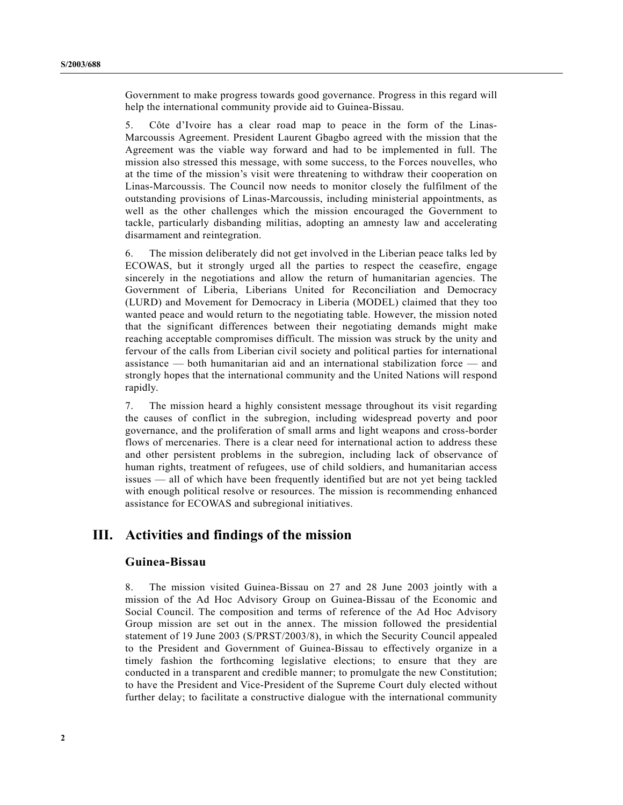Government to make progress towards good governance. Progress in this regard will help the international community provide aid to Guinea-Bissau.

5. Côte d'Ivoire has a clear road map to peace in the form of the Linas-Marcoussis Agreement. President Laurent Gbagbo agreed with the mission that the Agreement was the viable way forward and had to be implemented in full. The mission also stressed this message, with some success, to the Forces nouvelles, who at the time of the mission's visit were threatening to withdraw their cooperation on Linas-Marcoussis. The Council now needs to monitor closely the fulfilment of the outstanding provisions of Linas-Marcoussis, including ministerial appointments, as well as the other challenges which the mission encouraged the Government to tackle, particularly disbanding militias, adopting an amnesty law and accelerating disarmament and reintegration.

6. The mission deliberately did not get involved in the Liberian peace talks led by ECOWAS, but it strongly urged all the parties to respect the ceasefire, engage sincerely in the negotiations and allow the return of humanitarian agencies. The Government of Liberia, Liberians United for Reconciliation and Democracy (LURD) and Movement for Democracy in Liberia (MODEL) claimed that they too wanted peace and would return to the negotiating table. However, the mission noted that the significant differences between their negotiating demands might make reaching acceptable compromises difficult. The mission was struck by the unity and fervour of the calls from Liberian civil society and political parties for international assistance — both humanitarian aid and an international stabilization force — and strongly hopes that the international community and the United Nations will respond rapidly.

7. The mission heard a highly consistent message throughout its visit regarding the causes of conflict in the subregion, including widespread poverty and poor governance, and the proliferation of small arms and light weapons and cross-border flows of mercenaries. There is a clear need for international action to address these and other persistent problems in the subregion, including lack of observance of human rights, treatment of refugees, use of child soldiers, and humanitarian access issues — all of which have been frequently identified but are not yet being tackled with enough political resolve or resources. The mission is recommending enhanced assistance for ECOWAS and subregional initiatives.

## **III. Activities and findings of the mission**

## **Guinea-Bissau**

8. The mission visited Guinea-Bissau on 27 and 28 June 2003 jointly with a mission of the Ad Hoc Advisory Group on Guinea-Bissau of the Economic and Social Council. The composition and terms of reference of the Ad Hoc Advisory Group mission are set out in the annex. The mission followed the presidential statement of 19 June 2003 (S/PRST/2003/8), in which the Security Council appealed to the President and Government of Guinea-Bissau to effectively organize in a timely fashion the forthcoming legislative elections; to ensure that they are conducted in a transparent and credible manner; to promulgate the new Constitution; to have the President and Vice-President of the Supreme Court duly elected without further delay; to facilitate a constructive dialogue with the international community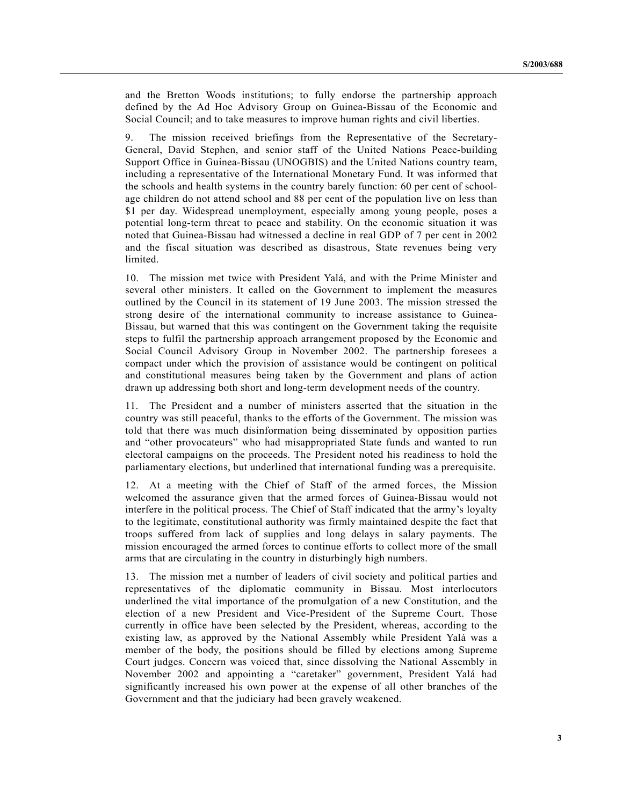and the Bretton Woods institutions; to fully endorse the partnership approach defined by the Ad Hoc Advisory Group on Guinea-Bissau of the Economic and Social Council; and to take measures to improve human rights and civil liberties.

9. The mission received briefings from the Representative of the Secretary-General, David Stephen, and senior staff of the United Nations Peace-building Support Office in Guinea-Bissau (UNOGBIS) and the United Nations country team, including a representative of the International Monetary Fund. It was informed that the schools and health systems in the country barely function: 60 per cent of schoolage children do not attend school and 88 per cent of the population live on less than \$1 per day. Widespread unemployment, especially among young people, poses a potential long-term threat to peace and stability. On the economic situation it was noted that Guinea-Bissau had witnessed a decline in real GDP of 7 per cent in 2002 and the fiscal situation was described as disastrous, State revenues being very limited.

10. The mission met twice with President Yalá, and with the Prime Minister and several other ministers. It called on the Government to implement the measures outlined by the Council in its statement of 19 June 2003. The mission stressed the strong desire of the international community to increase assistance to Guinea-Bissau, but warned that this was contingent on the Government taking the requisite steps to fulfil the partnership approach arrangement proposed by the Economic and Social Council Advisory Group in November 2002. The partnership foresees a compact under which the provision of assistance would be contingent on political and constitutional measures being taken by the Government and plans of action drawn up addressing both short and long-term development needs of the country.

11. The President and a number of ministers asserted that the situation in the country was still peaceful, thanks to the efforts of the Government. The mission was told that there was much disinformation being disseminated by opposition parties and "other provocateurs" who had misappropriated State funds and wanted to run electoral campaigns on the proceeds. The President noted his readiness to hold the parliamentary elections, but underlined that international funding was a prerequisite.

12. At a meeting with the Chief of Staff of the armed forces, the Mission welcomed the assurance given that the armed forces of Guinea-Bissau would not interfere in the political process. The Chief of Staff indicated that the army's loyalty to the legitimate, constitutional authority was firmly maintained despite the fact that troops suffered from lack of supplies and long delays in salary payments. The mission encouraged the armed forces to continue efforts to collect more of the small arms that are circulating in the country in disturbingly high numbers.

13. The mission met a number of leaders of civil society and political parties and representatives of the diplomatic community in Bissau. Most interlocutors underlined the vital importance of the promulgation of a new Constitution, and the election of a new President and Vice-President of the Supreme Court. Those currently in office have been selected by the President, whereas, according to the existing law, as approved by the National Assembly while President Yalá was a member of the body, the positions should be filled by elections among Supreme Court judges. Concern was voiced that, since dissolving the National Assembly in November 2002 and appointing a "caretaker" government, President Yalá had significantly increased his own power at the expense of all other branches of the Government and that the judiciary had been gravely weakened.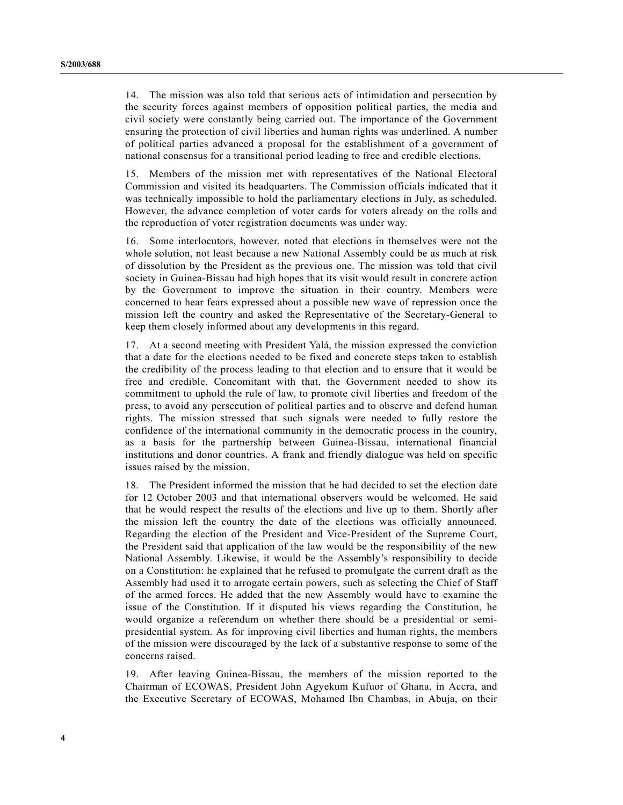14. The mission was also told that serious acts of intimidation and persecution by the security forces against members of opposition political parties, the media and civil society were constantly being carried out. The importance of the Government ensuring the protection of civil liberties and human rights was underlined. A number of political parties advanced a proposal for the establishment of a government of national consensus for a transitional period leading to free and credible elections.

15. Members of the mission met with representatives of the National Electoral Commission and visited its headquarters. The Commission officials indicated that it was technically impossible to hold the parliamentary elections in July, as scheduled. However, the advance completion of voter cards for voters already on the rolls and the reproduction of voter registration documents was under way.

16. Some interlocutors, however, noted that elections in themselves were not the whole solution, not least because a new National Assembly could be as much at risk of dissolution by the President as the previous one. The mission was told that civil society in Guinea-Bissau had high hopes that its visit would result in concrete action by the Government to improve the situation in their country. Members were concerned to hear fears expressed about a possible new wave of repression once the mission left the country and asked the Representative of the Secretary-General to keep them closely informed about any developments in this regard.

17. At a second meeting with President Yalá, the mission expressed the conviction that a date for the elections needed to be fixed and concrete steps taken to establish the credibility of the process leading to that election and to ensure that it would be free and credible. Concomitant with that, the Government needed to show its commitment to uphold the rule of law, to promote civil liberties and freedom of the press, to avoid any persecution of political parties and to observe and defend human rights. The mission stressed that such signals were needed to fully restore the confidence of the international community in the democratic process in the country, as a basis for the partnership between Guinea-Bissau, international financial institutions and donor countries. A frank and friendly dialogue was held on specific issues raised by the mission.

18. The President informed the mission that he had decided to set the election date for 12 October 2003 and that international observers would be welcomed. He said that he would respect the results of the elections and live up to them. Shortly after the mission left the country the date of the elections was officially announced. Regarding the election of the President and Vice-President of the Supreme Court, the President said that application of the law would be the responsibility of the new National Assembly. Likewise, it would be the Assembly's responsibility to decide on a Constitution: he explained that he refused to promulgate the current draft as the Assembly had used it to arrogate certain powers, such as selecting the Chief of Staff of the armed forces. He added that the new Assembly would have to examine the issue of the Constitution. If it disputed his views regarding the Constitution, he would organize a referendum on whether there should be a presidential or semipresidential system. As for improving civil liberties and human rights, the members of the mission were discouraged by the lack of a substantive response to some of the concerns raised.

19. After leaving Guinea-Bissau, the members of the mission reported to the Chairman of ECOWAS, President John Agyekum Kufuor of Ghana, in Accra, and the Executive Secretary of ECOWAS, Mohamed Ibn Chambas, in Abuja, on their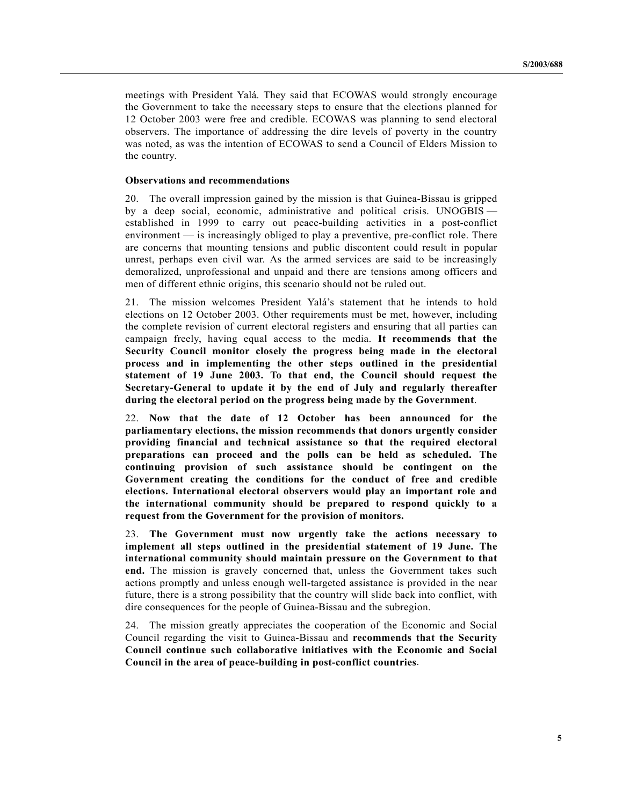meetings with President Yalá. They said that ECOWAS would strongly encourage the Government to take the necessary steps to ensure that the elections planned for 12 October 2003 were free and credible. ECOWAS was planning to send electoral observers. The importance of addressing the dire levels of poverty in the country was noted, as was the intention of ECOWAS to send a Council of Elders Mission to the country.

#### **Observations and recommendations**

20. The overall impression gained by the mission is that Guinea-Bissau is gripped by a deep social, economic, administrative and political crisis. UNOGBIS established in 1999 to carry out peace-building activities in a post-conflict environment — is increasingly obliged to play a preventive, pre-conflict role. There are concerns that mounting tensions and public discontent could result in popular unrest, perhaps even civil war. As the armed services are said to be increasingly demoralized, unprofessional and unpaid and there are tensions among officers and men of different ethnic origins, this scenario should not be ruled out.

21. The mission welcomes President Yalá's statement that he intends to hold elections on 12 October 2003. Other requirements must be met, however, including the complete revision of current electoral registers and ensuring that all parties can campaign freely, having equal access to the media. **It recommends that the Security Council monitor closely the progress being made in the electoral process and in implementing the other steps outlined in the presidential statement of 19 June 2003. To that end, the Council should request the Secretary-General to update it by the end of July and regularly thereafter during the electoral period on the progress being made by the Government**.

22. **Now that the date of 12 October has been announced for the parliamentary elections, the mission recommends that donors urgently consider providing financial and technical assistance so that the required electoral preparations can proceed and the polls can be held as scheduled. The continuing provision of such assistance should be contingent on the Government creating the conditions for the conduct of free and credible elections. International electoral observers would play an important role and the international community should be prepared to respond quickly to a request from the Government for the provision of monitors.**

23. **The Government must now urgently take the actions necessary to implement all steps outlined in the presidential statement of 19 June. The international community should maintain pressure on the Government to that end.** The mission is gravely concerned that, unless the Government takes such actions promptly and unless enough well-targeted assistance is provided in the near future, there is a strong possibility that the country will slide back into conflict, with dire consequences for the people of Guinea-Bissau and the subregion.

24. The mission greatly appreciates the cooperation of the Economic and Social Council regarding the visit to Guinea-Bissau and **recommends that the Security Council continue such collaborative initiatives with the Economic and Social Council in the area of peace-building in post-conflict countries**.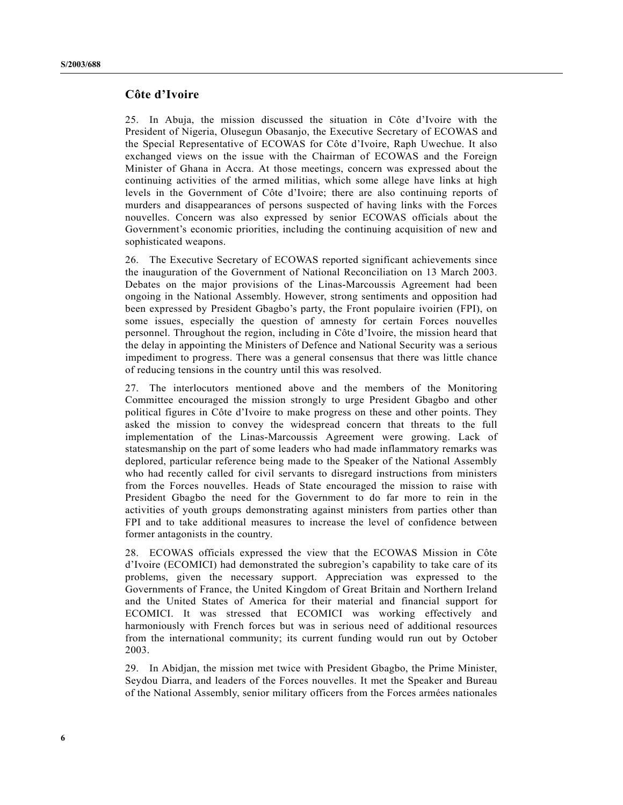## **Côte d'Ivoire**

25. In Abuja, the mission discussed the situation in Côte d'Ivoire with the President of Nigeria, Olusegun Obasanjo, the Executive Secretary of ECOWAS and the Special Representative of ECOWAS for Côte d'Ivoire, Raph Uwechue. It also exchanged views on the issue with the Chairman of ECOWAS and the Foreign Minister of Ghana in Accra. At those meetings, concern was expressed about the continuing activities of the armed militias, which some allege have links at high levels in the Government of Côte d'Ivoire; there are also continuing reports of murders and disappearances of persons suspected of having links with the Forces nouvelles. Concern was also expressed by senior ECOWAS officials about the Government's economic priorities, including the continuing acquisition of new and sophisticated weapons.

26. The Executive Secretary of ECOWAS reported significant achievements since the inauguration of the Government of National Reconciliation on 13 March 2003. Debates on the major provisions of the Linas-Marcoussis Agreement had been ongoing in the National Assembly. However, strong sentiments and opposition had been expressed by President Gbagbo's party, the Front populaire ivoirien (FPI), on some issues, especially the question of amnesty for certain Forces nouvelles personnel. Throughout the region, including in Côte d'Ivoire, the mission heard that the delay in appointing the Ministers of Defence and National Security was a serious impediment to progress. There was a general consensus that there was little chance of reducing tensions in the country until this was resolved.

27. The interlocutors mentioned above and the members of the Monitoring Committee encouraged the mission strongly to urge President Gbagbo and other political figures in Côte d'Ivoire to make progress on these and other points. They asked the mission to convey the widespread concern that threats to the full implementation of the Linas-Marcoussis Agreement were growing. Lack of statesmanship on the part of some leaders who had made inflammatory remarks was deplored, particular reference being made to the Speaker of the National Assembly who had recently called for civil servants to disregard instructions from ministers from the Forces nouvelles. Heads of State encouraged the mission to raise with President Gbagbo the need for the Government to do far more to rein in the activities of youth groups demonstrating against ministers from parties other than FPI and to take additional measures to increase the level of confidence between former antagonists in the country.

28. ECOWAS officials expressed the view that the ECOWAS Mission in Côte d'Ivoire (ECOMICI) had demonstrated the subregion's capability to take care of its problems, given the necessary support. Appreciation was expressed to the Governments of France, the United Kingdom of Great Britain and Northern Ireland and the United States of America for their material and financial support for ECOMICI. It was stressed that ECOMICI was working effectively and harmoniously with French forces but was in serious need of additional resources from the international community; its current funding would run out by October 2003.

29. In Abidjan, the mission met twice with President Gbagbo, the Prime Minister, Seydou Diarra, and leaders of the Forces nouvelles. It met the Speaker and Bureau of the National Assembly, senior military officers from the Forces armées nationales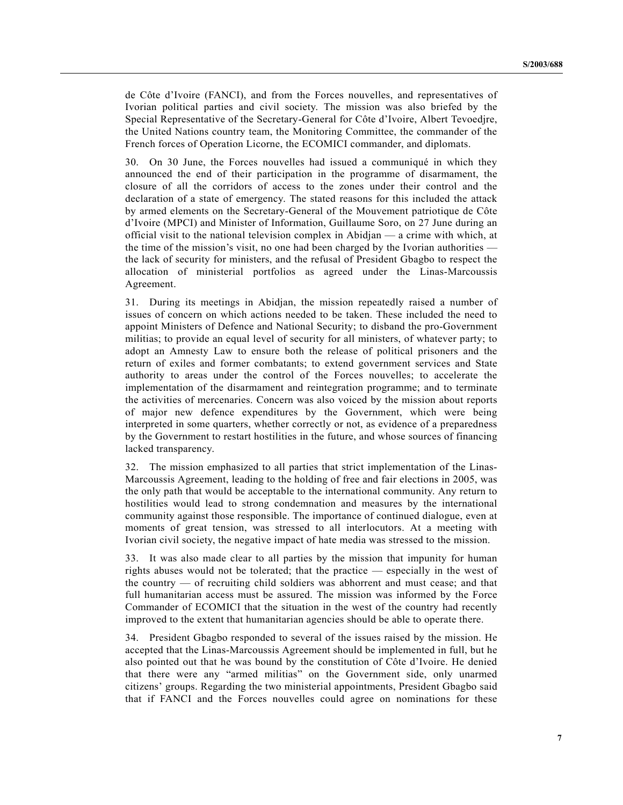de Côte d'Ivoire (FANCI), and from the Forces nouvelles, and representatives of Ivorian political parties and civil society. The mission was also briefed by the Special Representative of the Secretary-General for Côte d'Ivoire, Albert Tevoedjre, the United Nations country team, the Monitoring Committee, the commander of the French forces of Operation Licorne, the ECOMICI commander, and diplomats.

30. On 30 June, the Forces nouvelles had issued a communiqué in which they announced the end of their participation in the programme of disarmament, the closure of all the corridors of access to the zones under their control and the declaration of a state of emergency. The stated reasons for this included the attack by armed elements on the Secretary-General of the Mouvement patriotique de Côte d'Ivoire (MPCI) and Minister of Information, Guillaume Soro, on 27 June during an official visit to the national television complex in Abidjan — a crime with which, at the time of the mission's visit, no one had been charged by the Ivorian authorities the lack of security for ministers, and the refusal of President Gbagbo to respect the allocation of ministerial portfolios as agreed under the Linas-Marcoussis Agreement.

31. During its meetings in Abidjan, the mission repeatedly raised a number of issues of concern on which actions needed to be taken. These included the need to appoint Ministers of Defence and National Security; to disband the pro-Government militias; to provide an equal level of security for all ministers, of whatever party; to adopt an Amnesty Law to ensure both the release of political prisoners and the return of exiles and former combatants; to extend government services and State authority to areas under the control of the Forces nouvelles; to accelerate the implementation of the disarmament and reintegration programme; and to terminate the activities of mercenaries. Concern was also voiced by the mission about reports of major new defence expenditures by the Government, which were being interpreted in some quarters, whether correctly or not, as evidence of a preparedness by the Government to restart hostilities in the future, and whose sources of financing lacked transparency.

32. The mission emphasized to all parties that strict implementation of the Linas-Marcoussis Agreement, leading to the holding of free and fair elections in 2005, was the only path that would be acceptable to the international community. Any return to hostilities would lead to strong condemnation and measures by the international community against those responsible. The importance of continued dialogue, even at moments of great tension, was stressed to all interlocutors. At a meeting with Ivorian civil society, the negative impact of hate media was stressed to the mission.

33. It was also made clear to all parties by the mission that impunity for human rights abuses would not be tolerated; that the practice — especially in the west of the country — of recruiting child soldiers was abhorrent and must cease; and that full humanitarian access must be assured. The mission was informed by the Force Commander of ECOMICI that the situation in the west of the country had recently improved to the extent that humanitarian agencies should be able to operate there.

34. President Gbagbo responded to several of the issues raised by the mission. He accepted that the Linas-Marcoussis Agreement should be implemented in full, but he also pointed out that he was bound by the constitution of Côte d'Ivoire. He denied that there were any "armed militias" on the Government side, only unarmed citizens' groups. Regarding the two ministerial appointments, President Gbagbo said that if FANCI and the Forces nouvelles could agree on nominations for these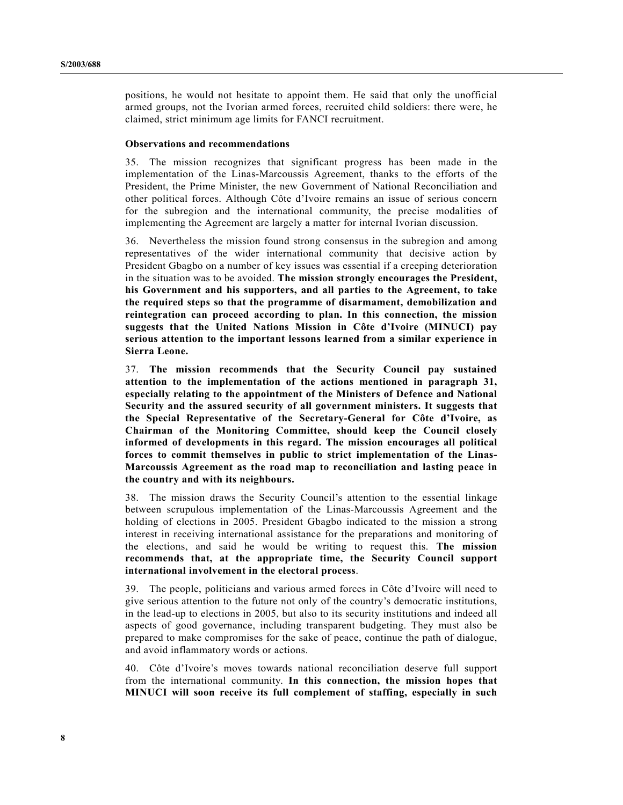positions, he would not hesitate to appoint them. He said that only the unofficial armed groups, not the Ivorian armed forces, recruited child soldiers: there were, he claimed, strict minimum age limits for FANCI recruitment.

#### **Observations and recommendations**

35. The mission recognizes that significant progress has been made in the implementation of the Linas-Marcoussis Agreement, thanks to the efforts of the President, the Prime Minister, the new Government of National Reconciliation and other political forces. Although Côte d'Ivoire remains an issue of serious concern for the subregion and the international community, the precise modalities of implementing the Agreement are largely a matter for internal Ivorian discussion.

36. Nevertheless the mission found strong consensus in the subregion and among representatives of the wider international community that decisive action by President Gbagbo on a number of key issues was essential if a creeping deterioration in the situation was to be avoided. **The mission strongly encourages the President, his Government and his supporters, and all parties to the Agreement, to take the required steps so that the programme of disarmament, demobilization and reintegration can proceed according to plan. In this connection, the mission suggests that the United Nations Mission in Côte d'Ivoire (MINUCI) pay serious attention to the important lessons learned from a similar experience in Sierra Leone.**

37. **The mission recommends that the Security Council pay sustained attention to the implementation of the actions mentioned in paragraph 31, especially relating to the appointment of the Ministers of Defence and National Security and the assured security of all government ministers. It suggests that the Special Representative of the Secretary-General for Côte d'Ivoire, as Chairman of the Monitoring Committee, should keep the Council closely informed of developments in this regard. The mission encourages all political forces to commit themselves in public to strict implementation of the Linas-Marcoussis Agreement as the road map to reconciliation and lasting peace in the country and with its neighbours.**

38. The mission draws the Security Council's attention to the essential linkage between scrupulous implementation of the Linas-Marcoussis Agreement and the holding of elections in 2005. President Gbagbo indicated to the mission a strong interest in receiving international assistance for the preparations and monitoring of the elections, and said he would be writing to request this. **The mission recommends that, at the appropriate time, the Security Council support international involvement in the electoral process**.

39. The people, politicians and various armed forces in Côte d'Ivoire will need to give serious attention to the future not only of the country's democratic institutions, in the lead-up to elections in 2005, but also to its security institutions and indeed all aspects of good governance, including transparent budgeting. They must also be prepared to make compromises for the sake of peace, continue the path of dialogue, and avoid inflammatory words or actions.

40. Côte d'Ivoire's moves towards national reconciliation deserve full support from the international community. **In this connection, the mission hopes that MINUCI will soon receive its full complement of staffing, especially in such**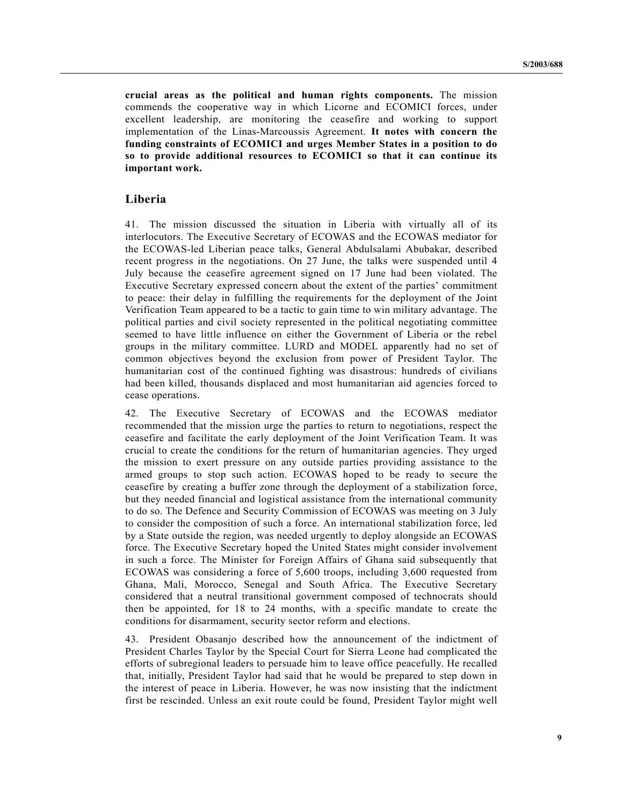**crucial areas as the political and human rights components.** The mission commends the cooperative way in which Licorne and ECOMICI forces, under excellent leadership, are monitoring the ceasefire and working to support implementation of the Linas-Marcoussis Agreement. **It notes with concern the funding constraints of ECOMICI and urges Member States in a position to do so to provide additional resources to ECOMICI so that it can continue its important work.**

## **Liberia**

41. The mission discussed the situation in Liberia with virtually all of its interlocutors. The Executive Secretary of ECOWAS and the ECOWAS mediator for the ECOWAS-led Liberian peace talks, General Abdulsalami Abubakar, described recent progress in the negotiations. On 27 June, the talks were suspended until 4 July because the ceasefire agreement signed on 17 June had been violated. The Executive Secretary expressed concern about the extent of the parties' commitment to peace: their delay in fulfilling the requirements for the deployment of the Joint Verification Team appeared to be a tactic to gain time to win military advantage. The political parties and civil society represented in the political negotiating committee seemed to have little influence on either the Government of Liberia or the rebel groups in the military committee. LURD and MODEL apparently had no set of common objectives beyond the exclusion from power of President Taylor. The humanitarian cost of the continued fighting was disastrous: hundreds of civilians had been killed, thousands displaced and most humanitarian aid agencies forced to cease operations.

42. The Executive Secretary of ECOWAS and the ECOWAS mediator recommended that the mission urge the parties to return to negotiations, respect the ceasefire and facilitate the early deployment of the Joint Verification Team. It was crucial to create the conditions for the return of humanitarian agencies. They urged the mission to exert pressure on any outside parties providing assistance to the armed groups to stop such action. ECOWAS hoped to be ready to secure the ceasefire by creating a buffer zone through the deployment of a stabilization force, but they needed financial and logistical assistance from the international community to do so. The Defence and Security Commission of ECOWAS was meeting on 3 July to consider the composition of such a force. An international stabilization force, led by a State outside the region, was needed urgently to deploy alongside an ECOWAS force. The Executive Secretary hoped the United States might consider involvement in such a force. The Minister for Foreign Affairs of Ghana said subsequently that ECOWAS was considering a force of 5,600 troops, including 3,600 requested from Ghana, Mali, Morocco, Senegal and South Africa. The Executive Secretary considered that a neutral transitional government composed of technocrats should then be appointed, for 18 to 24 months, with a specific mandate to create the conditions for disarmament, security sector reform and elections.

43. President Obasanjo described how the announcement of the indictment of President Charles Taylor by the Special Court for Sierra Leone had complicated the efforts of subregional leaders to persuade him to leave office peacefully. He recalled that, initially, President Taylor had said that he would be prepared to step down in the interest of peace in Liberia. However, he was now insisting that the indictment first be rescinded. Unless an exit route could be found, President Taylor might well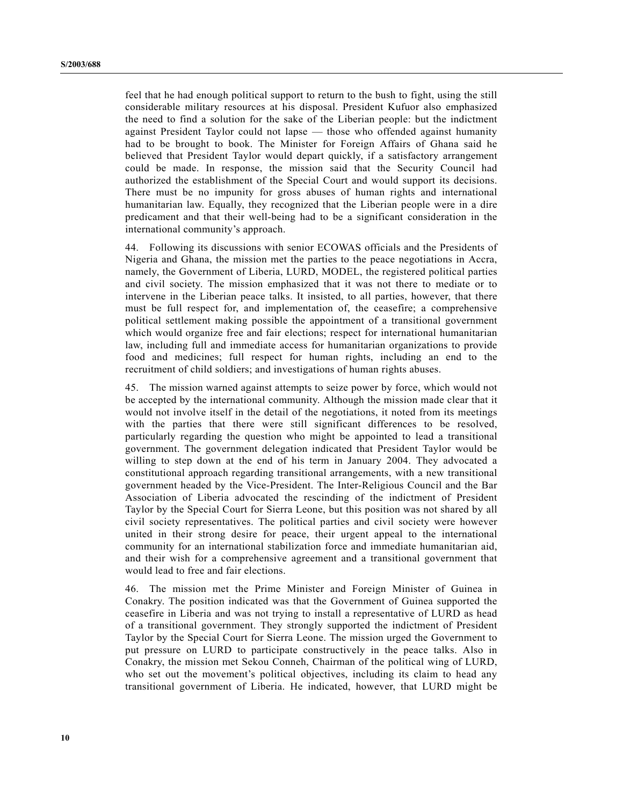feel that he had enough political support to return to the bush to fight, using the still considerable military resources at his disposal. President Kufuor also emphasized the need to find a solution for the sake of the Liberian people: but the indictment against President Taylor could not lapse — those who offended against humanity had to be brought to book. The Minister for Foreign Affairs of Ghana said he believed that President Taylor would depart quickly, if a satisfactory arrangement could be made. In response, the mission said that the Security Council had authorized the establishment of the Special Court and would support its decisions. There must be no impunity for gross abuses of human rights and international humanitarian law. Equally, they recognized that the Liberian people were in a dire predicament and that their well-being had to be a significant consideration in the international community's approach.

44. Following its discussions with senior ECOWAS officials and the Presidents of Nigeria and Ghana, the mission met the parties to the peace negotiations in Accra, namely, the Government of Liberia, LURD, MODEL, the registered political parties and civil society. The mission emphasized that it was not there to mediate or to intervene in the Liberian peace talks. It insisted, to all parties, however, that there must be full respect for, and implementation of, the ceasefire; a comprehensive political settlement making possible the appointment of a transitional government which would organize free and fair elections; respect for international humanitarian law, including full and immediate access for humanitarian organizations to provide food and medicines; full respect for human rights, including an end to the recruitment of child soldiers; and investigations of human rights abuses.

45. The mission warned against attempts to seize power by force, which would not be accepted by the international community. Although the mission made clear that it would not involve itself in the detail of the negotiations, it noted from its meetings with the parties that there were still significant differences to be resolved, particularly regarding the question who might be appointed to lead a transitional government. The government delegation indicated that President Taylor would be willing to step down at the end of his term in January 2004. They advocated a constitutional approach regarding transitional arrangements, with a new transitional government headed by the Vice-President. The Inter-Religious Council and the Bar Association of Liberia advocated the rescinding of the indictment of President Taylor by the Special Court for Sierra Leone, but this position was not shared by all civil society representatives. The political parties and civil society were however united in their strong desire for peace, their urgent appeal to the international community for an international stabilization force and immediate humanitarian aid, and their wish for a comprehensive agreement and a transitional government that would lead to free and fair elections.

46. The mission met the Prime Minister and Foreign Minister of Guinea in Conakry. The position indicated was that the Government of Guinea supported the ceasefire in Liberia and was not trying to install a representative of LURD as head of a transitional government. They strongly supported the indictment of President Taylor by the Special Court for Sierra Leone. The mission urged the Government to put pressure on LURD to participate constructively in the peace talks. Also in Conakry, the mission met Sekou Conneh, Chairman of the political wing of LURD, who set out the movement's political objectives, including its claim to head any transitional government of Liberia. He indicated, however, that LURD might be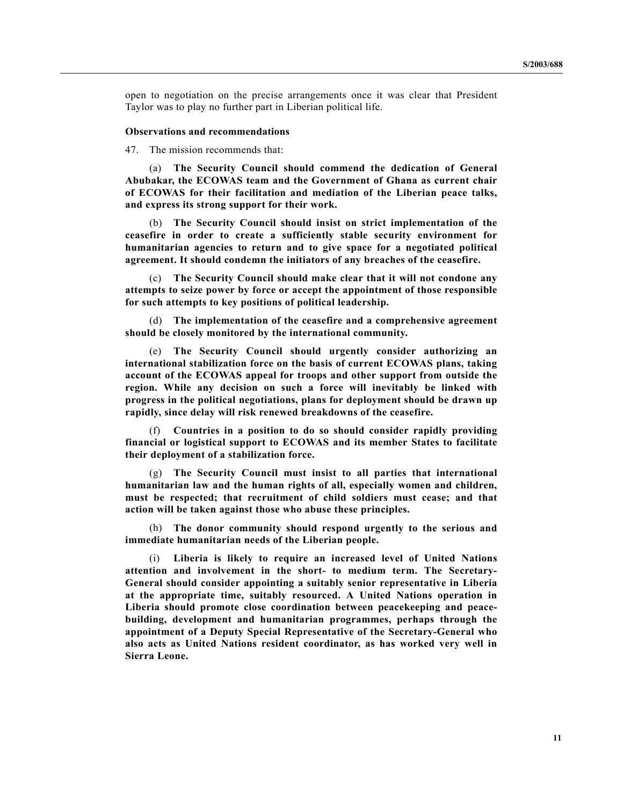open to negotiation on the precise arrangements once it was clear that President Taylor was to play no further part in Liberian political life.

#### **Observations and recommendations**

47. The mission recommends that:

(a) **The Security Council should commend the dedication of General Abubakar, the ECOWAS team and the Government of Ghana as current chair of ECOWAS for their facilitation and mediation of the Liberian peace talks, and express its strong support for their work.**

(b) **The Security Council should insist on strict implementation of the ceasefire in order to create a sufficiently stable security environment for humanitarian agencies to return and to give space for a negotiated political agreement. It should condemn the initiators of any breaches of the ceasefire.**

(c) **The Security Council should make clear that it will not condone any attempts to seize power by force or accept the appointment of those responsible for such attempts to key positions of political leadership.**

(d) **The implementation of the ceasefire and a comprehensive agreement should be closely monitored by the international community.**

(e) **The Security Council should urgently consider authorizing an international stabilization force on the basis of current ECOWAS plans, taking account of the ECOWAS appeal for troops and other support from outside the region. While any decision on such a force will inevitably be linked with progress in the political negotiations, plans for deployment should be drawn up rapidly, since delay will risk renewed breakdowns of the ceasefire.**

(f) **Countries in a position to do so should consider rapidly providing financial or logistical support to ECOWAS and its member States to facilitate their deployment of a stabilization force.**

(g) **The Security Council must insist to all parties that international humanitarian law and the human rights of all, especially women and children, must be respected; that recruitment of child soldiers must cease; and that action will be taken against those who abuse these principles.**

(h) **The donor community should respond urgently to the serious and immediate humanitarian needs of the Liberian people.**

(i) **Liberia is likely to require an increased level of United Nations attention and involvement in the short- to medium term. The Secretary-General should consider appointing a suitably senior representative in Liberia at the appropriate time, suitably resourced. A United Nations operation in Liberia should promote close coordination between peacekeeping and peacebuilding, development and humanitarian programmes, perhaps through the appointment of a Deputy Special Representative of the Secretary-General who also acts as United Nations resident coordinator, as has worked very well in Sierra Leone.**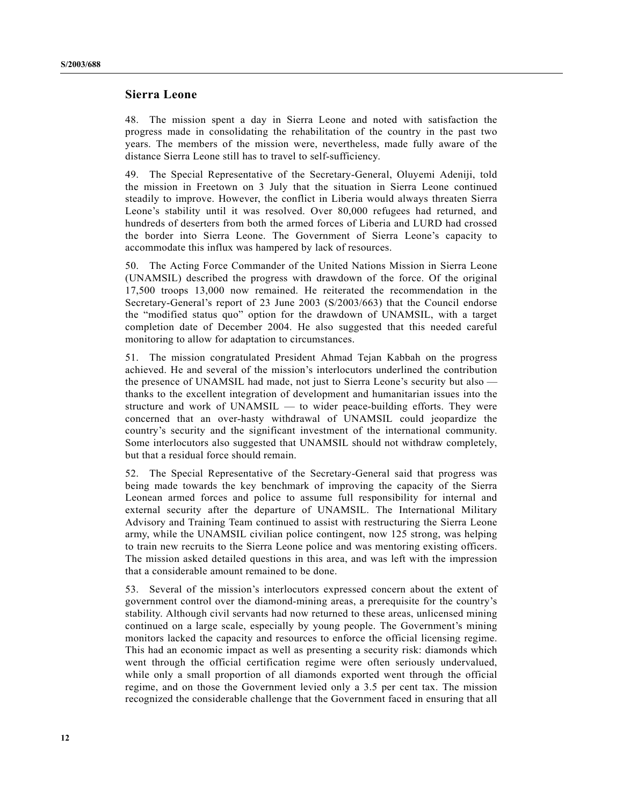## **Sierra Leone**

48. The mission spent a day in Sierra Leone and noted with satisfaction the progress made in consolidating the rehabilitation of the country in the past two years. The members of the mission were, nevertheless, made fully aware of the distance Sierra Leone still has to travel to self-sufficiency.

49. The Special Representative of the Secretary-General, Oluyemi Adeniji, told the mission in Freetown on 3 July that the situation in Sierra Leone continued steadily to improve. However, the conflict in Liberia would always threaten Sierra Leone's stability until it was resolved. Over 80,000 refugees had returned, and hundreds of deserters from both the armed forces of Liberia and LURD had crossed the border into Sierra Leone. The Government of Sierra Leone's capacity to accommodate this influx was hampered by lack of resources.

50. The Acting Force Commander of the United Nations Mission in Sierra Leone (UNAMSIL) described the progress with drawdown of the force. Of the original 17,500 troops 13,000 now remained. He reiterated the recommendation in the Secretary-General's report of 23 June 2003 (S/2003/663) that the Council endorse the "modified status quo" option for the drawdown of UNAMSIL, with a target completion date of December 2004. He also suggested that this needed careful monitoring to allow for adaptation to circumstances.

51. The mission congratulated President Ahmad Tejan Kabbah on the progress achieved. He and several of the mission's interlocutors underlined the contribution the presence of UNAMSIL had made, not just to Sierra Leone's security but also thanks to the excellent integration of development and humanitarian issues into the structure and work of UNAMSIL — to wider peace-building efforts. They were concerned that an over-hasty withdrawal of UNAMSIL could jeopardize the country's security and the significant investment of the international community. Some interlocutors also suggested that UNAMSIL should not withdraw completely, but that a residual force should remain.

52. The Special Representative of the Secretary-General said that progress was being made towards the key benchmark of improving the capacity of the Sierra Leonean armed forces and police to assume full responsibility for internal and external security after the departure of UNAMSIL. The International Military Advisory and Training Team continued to assist with restructuring the Sierra Leone army, while the UNAMSIL civilian police contingent, now 125 strong, was helping to train new recruits to the Sierra Leone police and was mentoring existing officers. The mission asked detailed questions in this area, and was left with the impression that a considerable amount remained to be done.

53. Several of the mission's interlocutors expressed concern about the extent of government control over the diamond-mining areas, a prerequisite for the country's stability. Although civil servants had now returned to these areas, unlicensed mining continued on a large scale, especially by young people. The Government's mining monitors lacked the capacity and resources to enforce the official licensing regime. This had an economic impact as well as presenting a security risk: diamonds which went through the official certification regime were often seriously undervalued, while only a small proportion of all diamonds exported went through the official regime, and on those the Government levied only a 3.5 per cent tax. The mission recognized the considerable challenge that the Government faced in ensuring that all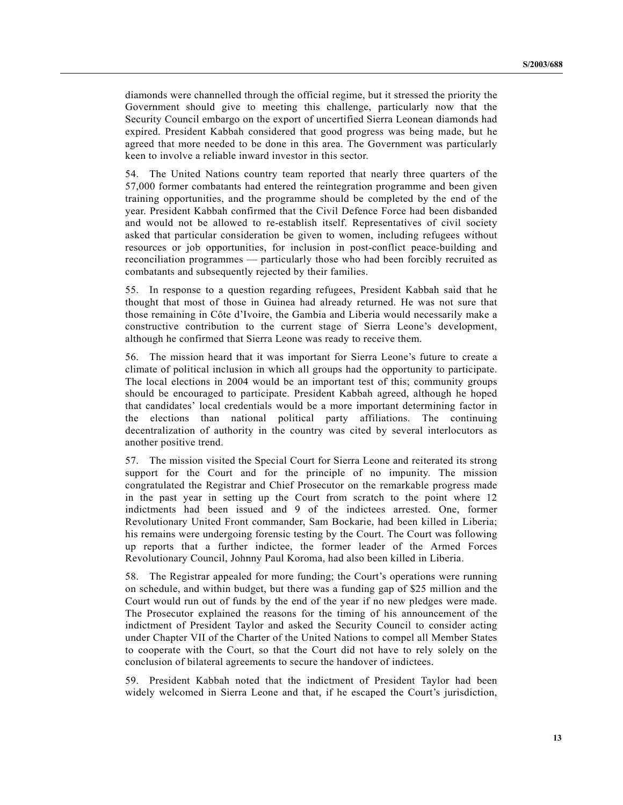diamonds were channelled through the official regime, but it stressed the priority the Government should give to meeting this challenge, particularly now that the Security Council embargo on the export of uncertified Sierra Leonean diamonds had expired. President Kabbah considered that good progress was being made, but he agreed that more needed to be done in this area. The Government was particularly keen to involve a reliable inward investor in this sector.

54. The United Nations country team reported that nearly three quarters of the 57,000 former combatants had entered the reintegration programme and been given training opportunities, and the programme should be completed by the end of the year. President Kabbah confirmed that the Civil Defence Force had been disbanded and would not be allowed to re-establish itself. Representatives of civil society asked that particular consideration be given to women, including refugees without resources or job opportunities, for inclusion in post-conflict peace-building and reconciliation programmes — particularly those who had been forcibly recruited as combatants and subsequently rejected by their families.

55. In response to a question regarding refugees, President Kabbah said that he thought that most of those in Guinea had already returned. He was not sure that those remaining in Côte d'Ivoire, the Gambia and Liberia would necessarily make a constructive contribution to the current stage of Sierra Leone's development, although he confirmed that Sierra Leone was ready to receive them.

56. The mission heard that it was important for Sierra Leone's future to create a climate of political inclusion in which all groups had the opportunity to participate. The local elections in 2004 would be an important test of this; community groups should be encouraged to participate. President Kabbah agreed, although he hoped that candidates' local credentials would be a more important determining factor in the elections than national political party affiliations. The continuing decentralization of authority in the country was cited by several interlocutors as another positive trend.

57. The mission visited the Special Court for Sierra Leone and reiterated its strong support for the Court and for the principle of no impunity. The mission congratulated the Registrar and Chief Prosecutor on the remarkable progress made in the past year in setting up the Court from scratch to the point where 12 indictments had been issued and 9 of the indictees arrested. One, former Revolutionary United Front commander, Sam Bockarie, had been killed in Liberia; his remains were undergoing forensic testing by the Court. The Court was following up reports that a further indictee, the former leader of the Armed Forces Revolutionary Council, Johnny Paul Koroma, had also been killed in Liberia.

58. The Registrar appealed for more funding; the Court's operations were running on schedule, and within budget, but there was a funding gap of \$25 million and the Court would run out of funds by the end of the year if no new pledges were made. The Prosecutor explained the reasons for the timing of his announcement of the indictment of President Taylor and asked the Security Council to consider acting under Chapter VII of the Charter of the United Nations to compel all Member States to cooperate with the Court, so that the Court did not have to rely solely on the conclusion of bilateral agreements to secure the handover of indictees.

59. President Kabbah noted that the indictment of President Taylor had been widely welcomed in Sierra Leone and that, if he escaped the Court's jurisdiction,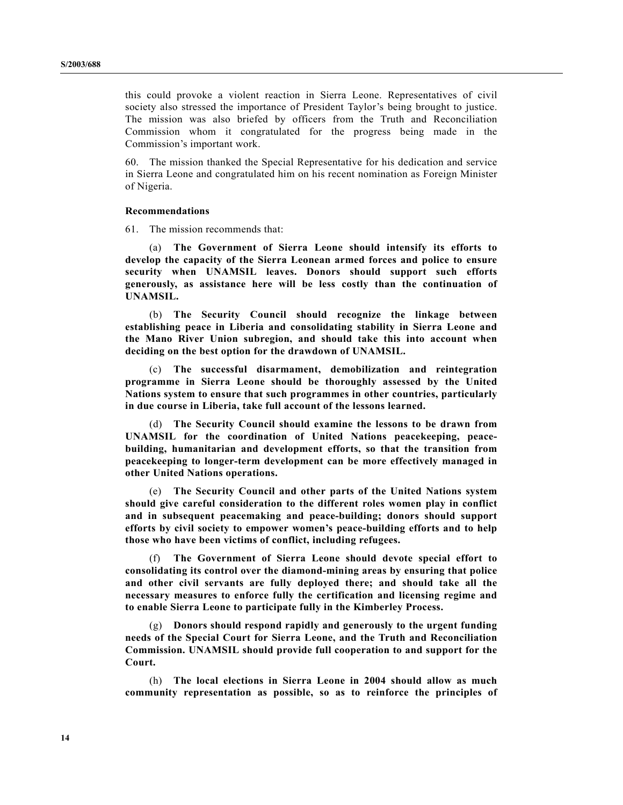this could provoke a violent reaction in Sierra Leone. Representatives of civil society also stressed the importance of President Taylor's being brought to justice. The mission was also briefed by officers from the Truth and Reconciliation Commission whom it congratulated for the progress being made in the Commission's important work.

60. The mission thanked the Special Representative for his dedication and service in Sierra Leone and congratulated him on his recent nomination as Foreign Minister of Nigeria.

#### **Recommendations**

61. The mission recommends that:

(a) **The Government of Sierra Leone should intensify its efforts to develop the capacity of the Sierra Leonean armed forces and police to ensure security when UNAMSIL leaves. Donors should support such efforts generously, as assistance here will be less costly than the continuation of UNAMSIL.**

(b) **The Security Council should recognize the linkage between establishing peace in Liberia and consolidating stability in Sierra Leone and the Mano River Union subregion, and should take this into account when deciding on the best option for the drawdown of UNAMSIL.**

(c) **The successful disarmament, demobilization and reintegration programme in Sierra Leone should be thoroughly assessed by the United Nations system to ensure that such programmes in other countries, particularly in due course in Liberia, take full account of the lessons learned.**

(d) **The Security Council should examine the lessons to be drawn from UNAMSIL for the coordination of United Nations peacekeeping, peacebuilding, humanitarian and development efforts, so that the transition from peacekeeping to longer-term development can be more effectively managed in other United Nations operations.**

(e) **The Security Council and other parts of the United Nations system should give careful consideration to the different roles women play in conflict and in subsequent peacemaking and peace-building; donors should support efforts by civil society to empower women's peace-building efforts and to help those who have been victims of conflict, including refugees.**

(f) **The Government of Sierra Leone should devote special effort to consolidating its control over the diamond-mining areas by ensuring that police and other civil servants are fully deployed there; and should take all the necessary measures to enforce fully the certification and licensing regime and to enable Sierra Leone to participate fully in the Kimberley Process.**

(g) **Donors should respond rapidly and generously to the urgent funding needs of the Special Court for Sierra Leone, and the Truth and Reconciliation Commission. UNAMSIL should provide full cooperation to and support for the Court.**

(h) **The local elections in Sierra Leone in 2004 should allow as much community representation as possible, so as to reinforce the principles of**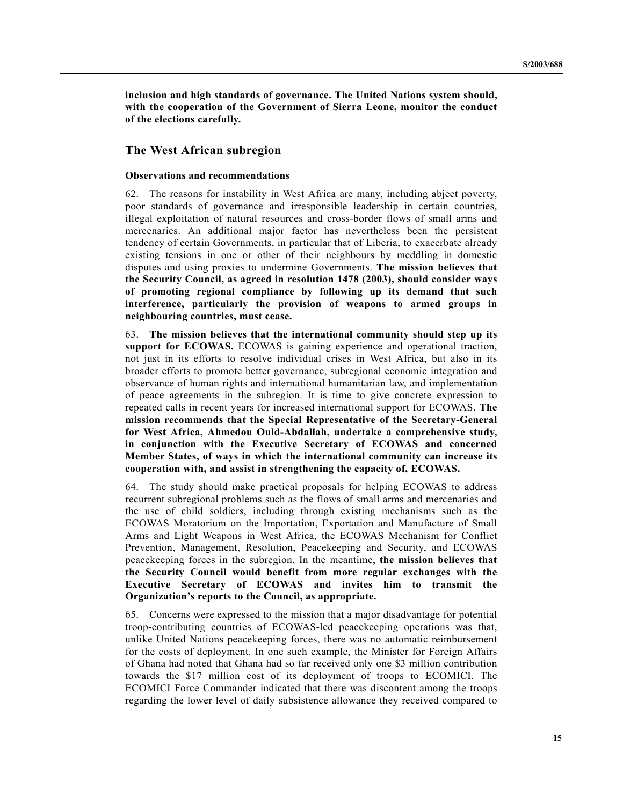**inclusion and high standards of governance. The United Nations system should, with the cooperation of the Government of Sierra Leone, monitor the conduct of the elections carefully.**

## **The West African subregion**

#### **Observations and recommendations**

62. The reasons for instability in West Africa are many, including abject poverty, poor standards of governance and irresponsible leadership in certain countries, illegal exploitation of natural resources and cross-border flows of small arms and mercenaries. An additional major factor has nevertheless been the persistent tendency of certain Governments, in particular that of Liberia, to exacerbate already existing tensions in one or other of their neighbours by meddling in domestic disputes and using proxies to undermine Governments. **The mission believes that the Security Council, as agreed in resolution 1478 (2003), should consider ways of promoting regional compliance by following up its demand that such interference, particularly the provision of weapons to armed groups in neighbouring countries, must cease.**

63. **The mission believes that the international community should step up its support for ECOWAS.** ECOWAS is gaining experience and operational traction, not just in its efforts to resolve individual crises in West Africa, but also in its broader efforts to promote better governance, subregional economic integration and observance of human rights and international humanitarian law, and implementation of peace agreements in the subregion. It is time to give concrete expression to repeated calls in recent years for increased international support for ECOWAS. **The mission recommends that the Special Representative of the Secretary-General for West Africa, Ahmedou Ould-Abdallah, undertake a comprehensive study, in conjunction with the Executive Secretary of ECOWAS and concerned Member States, of ways in which the international community can increase its cooperation with, and assist in strengthening the capacity of, ECOWAS.**

64. The study should make practical proposals for helping ECOWAS to address recurrent subregional problems such as the flows of small arms and mercenaries and the use of child soldiers, including through existing mechanisms such as the ECOWAS Moratorium on the Importation, Exportation and Manufacture of Small Arms and Light Weapons in West Africa, the ECOWAS Mechanism for Conflict Prevention, Management, Resolution, Peacekeeping and Security, and ECOWAS peacekeeping forces in the subregion. In the meantime, **the mission believes that the Security Council would benefit from more regular exchanges with the Executive Secretary of ECOWAS and invites him to transmit the Organization's reports to the Council, as appropriate.**

65. Concerns were expressed to the mission that a major disadvantage for potential troop-contributing countries of ECOWAS-led peacekeeping operations was that, unlike United Nations peacekeeping forces, there was no automatic reimbursement for the costs of deployment. In one such example, the Minister for Foreign Affairs of Ghana had noted that Ghana had so far received only one \$3 million contribution towards the \$17 million cost of its deployment of troops to ECOMICI. The ECOMICI Force Commander indicated that there was discontent among the troops regarding the lower level of daily subsistence allowance they received compared to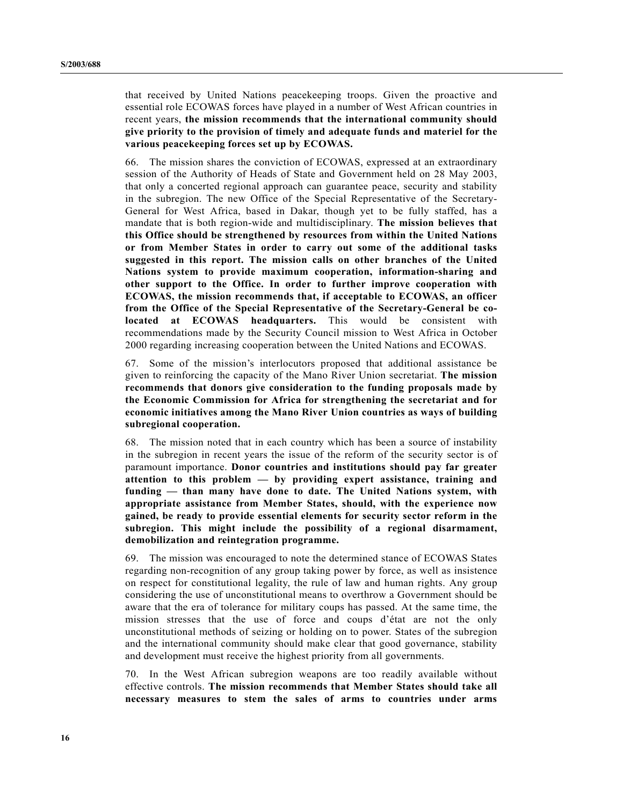that received by United Nations peacekeeping troops. Given the proactive and essential role ECOWAS forces have played in a number of West African countries in recent years, **the mission recommends that the international community should give priority to the provision of timely and adequate funds and materiel for the various peacekeeping forces set up by ECOWAS.**

66. The mission shares the conviction of ECOWAS, expressed at an extraordinary session of the Authority of Heads of State and Government held on 28 May 2003, that only a concerted regional approach can guarantee peace, security and stability in the subregion. The new Office of the Special Representative of the Secretary-General for West Africa, based in Dakar, though yet to be fully staffed, has a mandate that is both region-wide and multidisciplinary. **The mission believes that this Office should be strengthened by resources from within the United Nations or from Member States in order to carry out some of the additional tasks suggested in this report. The mission calls on other branches of the United Nations system to provide maximum cooperation, information-sharing and other support to the Office. In order to further improve cooperation with ECOWAS, the mission recommends that, if acceptable to ECOWAS, an officer from the Office of the Special Representative of the Secretary-General be colocated at ECOWAS headquarters.** This would be consistent with recommendations made by the Security Council mission to West Africa in October 2000 regarding increasing cooperation between the United Nations and ECOWAS.

67. Some of the mission's interlocutors proposed that additional assistance be given to reinforcing the capacity of the Mano River Union secretariat. **The mission recommends that donors give consideration to the funding proposals made by the Economic Commission for Africa for strengthening the secretariat and for economic initiatives among the Mano River Union countries as ways of building subregional cooperation.**

68. The mission noted that in each country which has been a source of instability in the subregion in recent years the issue of the reform of the security sector is of paramount importance. **Donor countries and institutions should pay far greater attention to this problem — by providing expert assistance, training and funding — than many have done to date. The United Nations system, with appropriate assistance from Member States, should, with the experience now gained, be ready to provide essential elements for security sector reform in the subregion. This might include the possibility of a regional disarmament, demobilization and reintegration programme.**

69. The mission was encouraged to note the determined stance of ECOWAS States regarding non-recognition of any group taking power by force, as well as insistence on respect for constitutional legality, the rule of law and human rights. Any group considering the use of unconstitutional means to overthrow a Government should be aware that the era of tolerance for military coups has passed. At the same time, the mission stresses that the use of force and coups d'état are not the only unconstitutional methods of seizing or holding on to power. States of the subregion and the international community should make clear that good governance, stability and development must receive the highest priority from all governments.

70. In the West African subregion weapons are too readily available without effective controls. **The mission recommends that Member States should take all necessary measures to stem the sales of arms to countries under arms**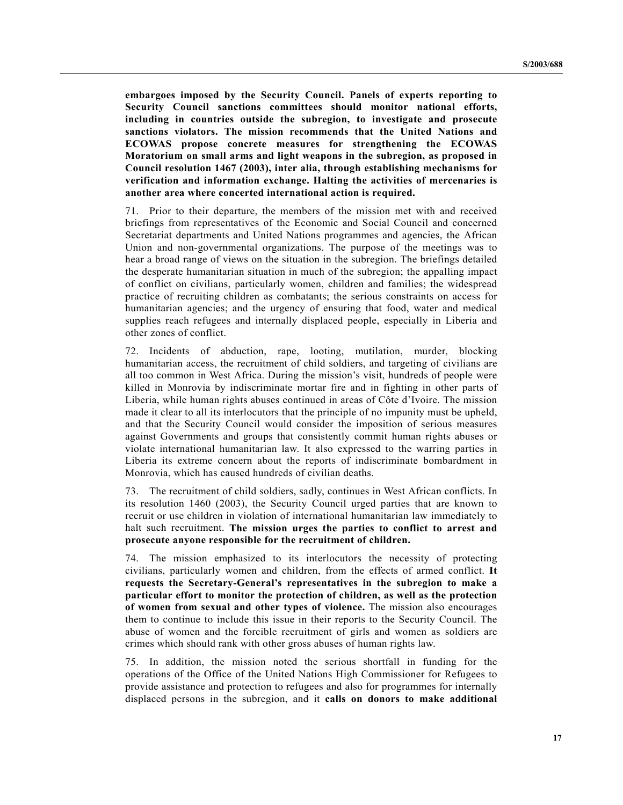**embargoes imposed by the Security Council. Panels of experts reporting to Security Council sanctions committees should monitor national efforts, including in countries outside the subregion, to investigate and prosecute sanctions violators. The mission recommends that the United Nations and ECOWAS propose concrete measures for strengthening the ECOWAS Moratorium on small arms and light weapons in the subregion, as proposed in Council resolution 1467 (2003), inter alia, through establishing mechanisms for verification and information exchange. Halting the activities of mercenaries is another area where concerted international action is required.**

71. Prior to their departure, the members of the mission met with and received briefings from representatives of the Economic and Social Council and concerned Secretariat departments and United Nations programmes and agencies, the African Union and non-governmental organizations. The purpose of the meetings was to hear a broad range of views on the situation in the subregion. The briefings detailed the desperate humanitarian situation in much of the subregion; the appalling impact of conflict on civilians, particularly women, children and families; the widespread practice of recruiting children as combatants; the serious constraints on access for humanitarian agencies; and the urgency of ensuring that food, water and medical supplies reach refugees and internally displaced people, especially in Liberia and other zones of conflict.

72. Incidents of abduction, rape, looting, mutilation, murder, blocking humanitarian access, the recruitment of child soldiers, and targeting of civilians are all too common in West Africa. During the mission's visit, hundreds of people were killed in Monrovia by indiscriminate mortar fire and in fighting in other parts of Liberia, while human rights abuses continued in areas of Côte d'Ivoire. The mission made it clear to all its interlocutors that the principle of no impunity must be upheld, and that the Security Council would consider the imposition of serious measures against Governments and groups that consistently commit human rights abuses or violate international humanitarian law. It also expressed to the warring parties in Liberia its extreme concern about the reports of indiscriminate bombardment in Monrovia, which has caused hundreds of civilian deaths.

73. The recruitment of child soldiers, sadly, continues in West African conflicts. In its resolution 1460 (2003), the Security Council urged parties that are known to recruit or use children in violation of international humanitarian law immediately to halt such recruitment. **The mission urges the parties to conflict to arrest and prosecute anyone responsible for the recruitment of children.**

74. The mission emphasized to its interlocutors the necessity of protecting civilians, particularly women and children, from the effects of armed conflict. **It requests the Secretary-General's representatives in the subregion to make a particular effort to monitor the protection of children, as well as the protection of women from sexual and other types of violence.** The mission also encourages them to continue to include this issue in their reports to the Security Council. The abuse of women and the forcible recruitment of girls and women as soldiers are crimes which should rank with other gross abuses of human rights law.

75. In addition, the mission noted the serious shortfall in funding for the operations of the Office of the United Nations High Commissioner for Refugees to provide assistance and protection to refugees and also for programmes for internally displaced persons in the subregion, and it **calls on donors to make additional**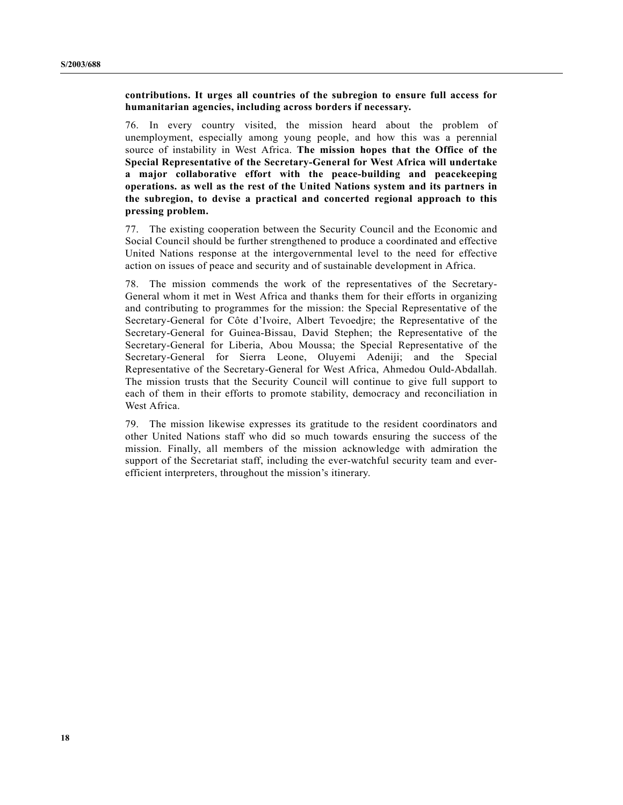**contributions. It urges all countries of the subregion to ensure full access for humanitarian agencies, including across borders if necessary.**

76. In every country visited, the mission heard about the problem of unemployment, especially among young people, and how this was a perennial source of instability in West Africa. **The mission hopes that the Office of the Special Representative of the Secretary-General for West Africa will undertake a major collaborative effort with the peace-building and peacekeeping operations. as well as the rest of the United Nations system and its partners in the subregion, to devise a practical and concerted regional approach to this pressing problem.**

77. The existing cooperation between the Security Council and the Economic and Social Council should be further strengthened to produce a coordinated and effective United Nations response at the intergovernmental level to the need for effective action on issues of peace and security and of sustainable development in Africa.

78. The mission commends the work of the representatives of the Secretary-General whom it met in West Africa and thanks them for their efforts in organizing and contributing to programmes for the mission: the Special Representative of the Secretary-General for Côte d'Ivoire, Albert Tevoedjre; the Representative of the Secretary-General for Guinea-Bissau, David Stephen; the Representative of the Secretary-General for Liberia, Abou Moussa; the Special Representative of the Secretary-General for Sierra Leone, Oluyemi Adeniji; and the Special Representative of the Secretary-General for West Africa, Ahmedou Ould-Abdallah. The mission trusts that the Security Council will continue to give full support to each of them in their efforts to promote stability, democracy and reconciliation in West Africa

79. The mission likewise expresses its gratitude to the resident coordinators and other United Nations staff who did so much towards ensuring the success of the mission. Finally, all members of the mission acknowledge with admiration the support of the Secretariat staff, including the ever-watchful security team and everefficient interpreters, throughout the mission's itinerary.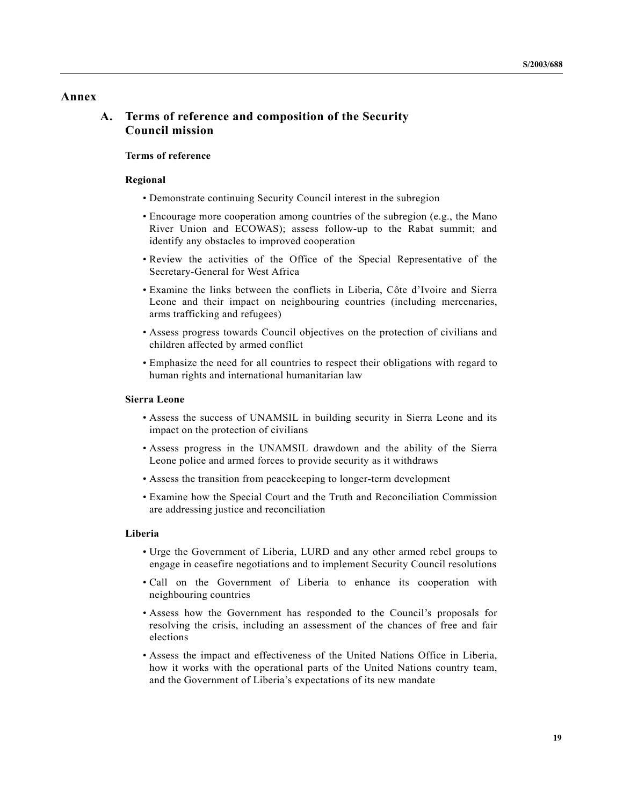## **Annex**

## **A. Terms of reference and composition of the Security Council mission**

### **Terms of reference**

#### **Regional**

- Demonstrate continuing Security Council interest in the subregion
- Encourage more cooperation among countries of the subregion (e.g., the Mano River Union and ECOWAS); assess follow-up to the Rabat summit; and identify any obstacles to improved cooperation
- Review the activities of the Office of the Special Representative of the Secretary-General for West Africa
- Examine the links between the conflicts in Liberia, Côte d'Ivoire and Sierra Leone and their impact on neighbouring countries (including mercenaries, arms trafficking and refugees)
- Assess progress towards Council objectives on the protection of civilians and children affected by armed conflict
- Emphasize the need for all countries to respect their obligations with regard to human rights and international humanitarian law

#### **Sierra Leone**

- Assess the success of UNAMSIL in building security in Sierra Leone and its impact on the protection of civilians
- Assess progress in the UNAMSIL drawdown and the ability of the Sierra Leone police and armed forces to provide security as it withdraws
- Assess the transition from peacekeeping to longer-term development
- Examine how the Special Court and the Truth and Reconciliation Commission are addressing justice and reconciliation

#### **Liberia**

- Urge the Government of Liberia, LURD and any other armed rebel groups to engage in ceasefire negotiations and to implement Security Council resolutions
- Call on the Government of Liberia to enhance its cooperation with neighbouring countries
- Assess how the Government has responded to the Council's proposals for resolving the crisis, including an assessment of the chances of free and fair elections
- Assess the impact and effectiveness of the United Nations Office in Liberia, how it works with the operational parts of the United Nations country team, and the Government of Liberia's expectations of its new mandate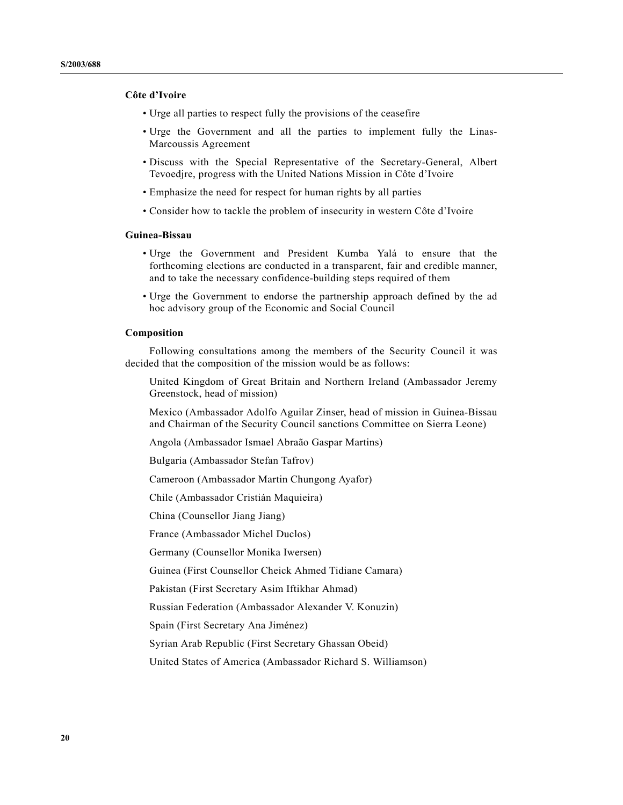### **Côte d'Ivoire**

- Urge all parties to respect fully the provisions of the ceasefire
- Urge the Government and all the parties to implement fully the Linas-Marcoussis Agreement
- Discuss with the Special Representative of the Secretary-General, Albert Tevoedjre, progress with the United Nations Mission in Côte d'Ivoire
- Emphasize the need for respect for human rights by all parties
- Consider how to tackle the problem of insecurity in western Côte d'Ivoire

### **Guinea-Bissau**

- Urge the Government and President Kumba Yalá to ensure that the forthcoming elections are conducted in a transparent, fair and credible manner, and to take the necessary confidence-building steps required of them
- Urge the Government to endorse the partnership approach defined by the ad hoc advisory group of the Economic and Social Council

#### **Composition**

Following consultations among the members of the Security Council it was decided that the composition of the mission would be as follows:

United Kingdom of Great Britain and Northern Ireland (Ambassador Jeremy Greenstock, head of mission)

Mexico (Ambassador Adolfo Aguilar Zinser, head of mission in Guinea-Bissau and Chairman of the Security Council sanctions Committee on Sierra Leone)

Angola (Ambassador Ismael Abraão Gaspar Martins)

Bulgaria (Ambassador Stefan Tafrov)

Cameroon (Ambassador Martin Chungong Ayafor)

Chile (Ambassador Cristián Maquieira)

China (Counsellor Jiang Jiang)

France (Ambassador Michel Duclos)

Germany (Counsellor Monika Iwersen)

Guinea (First Counsellor Cheick Ahmed Tidiane Camara)

Pakistan (First Secretary Asim Iftikhar Ahmad)

Russian Federation (Ambassador Alexander V. Konuzin)

Spain (First Secretary Ana Jiménez)

Syrian Arab Republic (First Secretary Ghassan Obeid)

United States of America (Ambassador Richard S. Williamson)